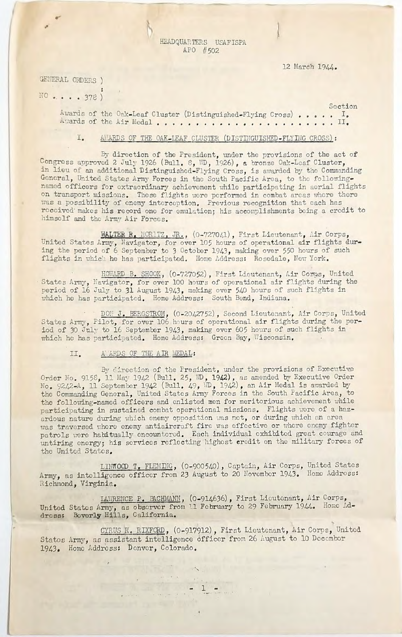HEADQUARTERS USAFISPA APO #502

### 12 March 1944.

GENERAL ORDERS ) NO.....378)

> Section Awards of the Oak-Leaf Cluster (Distinguished-Flying Cross)..... Awards of the Air Medal.............................

## I. AWARDS OF THE OAK-LEAF CLUSTER (DISTINGUISHED-FLYING CROSS):

By direction of the President, under the provisions of the act of Congress approved 2 July 1926 (Bull. 8, WD, 1926), a bronze Oak-Leaf Cluster, in lieu of an additional Distinguished-Flying Cross, is awarded by the Commanding General, United States Army Forces in the South Pacific Area, to the followingnamed officers for extraordinary achievement while participating in aerial flights on transport missions. These flights were performed in combat areas where there was a possibility of enemy interception. Previous recognition that each has received makes his record one for emulation; his accomplishments being a credit to himself and the Army Air Forces.

WALTER R. MOR1TZ, JR., (0-727041), First Lieutenant, Air Corps, United States Army, Navigator, for over 105 hours of operational air flights during the period of 6 September to 3 October 1943, making over 550 hours of such flights in which he has participated. Home Address: Rosedale, New York.

HOWARD B. SHOOK, (0-727052), First Lieutenant, Air Corps, United States Army, Navigator, for over 100 hours of operational air flights during the period of 16 July to 31 August 1943, making over 540 hours of such flights in which he has participated. Home Address: South Bend, Indiana.

DON J. BERGSTROM, (0-2042752), Second Lieutenant, Air Corps, United States Army, Pilot, for over 106 hours of operational air flights during the period of 30 July to 16 September 1943, making over 605 hours of such flights in which he has participated. Home Address: Green Bay, Wisconsin.

#### A ARDS OF THE AIR MEDAL:  $II.$

By direction of the President, under the provisions of Executive Order No. 9158, 11 May 1942 (Bull. 25, WD, 1942), as amended by Executive Order No. 9242-A, 11 September 1942 (Bull. 49, ND, 1942), an Air Medal is awarded by the Commanding General, United States Army Forces in the South Pacific Area, to the following-named officers and enlisted men for meritorious achievement while participating in sustained combat operational missions. Flights were of a hazardous nature during which enemy opposition was met, or during which an area was traversed where enemy antiaircraft fire was effective or where enemy fighter patrols were habitually encountered. Each individual exhibited great courage and untiring energy; his services reflecting highest credit on the military forces of the United States.

LINWOOD T. FLEMING, (0-900540), Captain, Air Corps, United States Army, as intelligence officer from 23 August to 20 November 1943. Home Address: Richmond, Virginia.

LAWRENCE P. BACHMANN, (0-914636), First Lieutenant, Air Corps, United States Army, as observer from 11 February to 29 February 1944. Home Address: Beverly Hills, California.

CYRUS R. RIXFORD, (0-917912), First Lieutenant, Air Corps, United Statos Army, as assistant intelligence officer from 26 August to 10 December 1943. Home Address: Denver, Colorado.

 $\frac{1}{1000} \frac{1}{1000} \frac{1}{1000} \frac{1}{1000} \frac{1}{1000} \frac{1}{1000} \frac{1}{1000} \frac{1}{1000} \frac{1}{1000} \frac{1}{1000} \frac{1}{1000} \frac{1}{1000} \frac{1}{1000} \frac{1}{1000} \frac{1}{1000} \frac{1}{1000} \frac{1}{1000} \frac{1}{1000} \frac{1}{1000} \frac{1}{1000} \frac{1}{1000} \frac{1}{1000}$